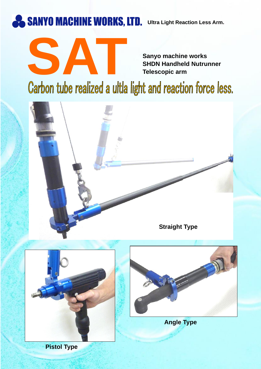

**SHDN Handheld Nutrunner Telescopic arm**

## Sanyo machine works<br>SHDN Handheld Nutrunner<br>Carbon tube realized a ultla light and reaction force less.